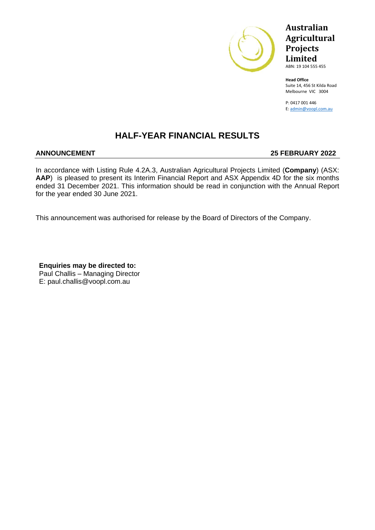

## **Australian Agricultural Projects Limited** ABN: 19 104 555 455

**Head Office** Suite 14, 456 St Kilda Road Melbourne VIC 3004

P: 0417 001 446 E: [admin@voopl.com.au](mailto:admin@voopl.com.au)

## **HALF-YEAR FINANCIAL RESULTS**

## **ANNOUNCEMENT 25 FEBRUARY 2022**

In accordance with Listing Rule 4.2A.3, Australian Agricultural Projects Limited (**Company**) (ASX: **AAP**) is pleased to present its Interim Financial Report and ASX Appendix 4D for the six months ended 31 December 2021. This information should be read in conjunction with the Annual Report for the year ended 30 June 2021.

This announcement was authorised for release by the Board of Directors of the Company.

**Enquiries may be directed to:** Paul Challis – Managing Director E: paul.challis@voopl.com.au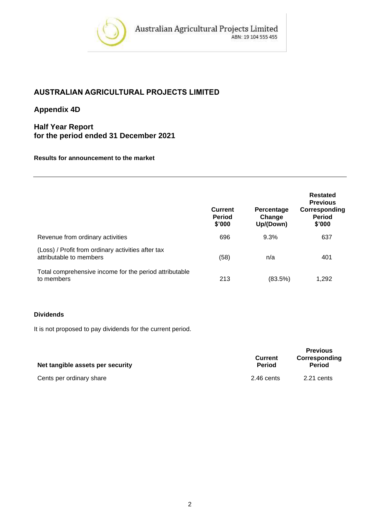

## **AUSTRALIAN AGRICULTURAL PROJECTS LIMITED**

## **Appendix 4D**

## **Half Year Report for the period ended 31 December 2021**

### **Results for announcement to the market**

|                                                                               | <b>Current</b><br><b>Period</b><br>\$'000 | Percentage<br>Change<br>Up/(Down) | Restated<br><b>Previous</b><br>Corresponding<br><b>Period</b><br>\$'000 |
|-------------------------------------------------------------------------------|-------------------------------------------|-----------------------------------|-------------------------------------------------------------------------|
| Revenue from ordinary activities                                              | 696                                       | 9.3%                              | 637                                                                     |
| (Loss) / Profit from ordinary activities after tax<br>attributable to members | (58)                                      | n/a                               | 401                                                                     |
| Total comprehensive income for the period attributable<br>to members          | 213                                       | (83.5%)                           | 1,292                                                                   |

## **Dividends**

It is not proposed to pay dividends for the current period.

| Net tangible assets per security | <b>Current</b><br><b>Period</b> | <b>Previous</b><br>Corresponding<br><b>Period</b> |
|----------------------------------|---------------------------------|---------------------------------------------------|
| Cents per ordinary share         | 2.46 cents                      | 2.21 cents                                        |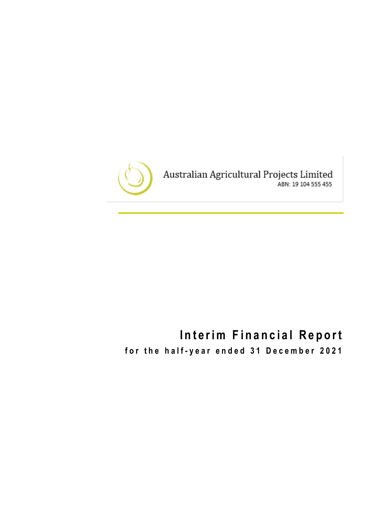

# **Interim Financial Report**

for the half-year ended 31 December 2021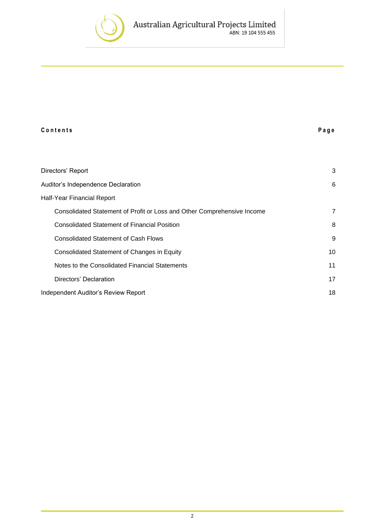

| Contents                                                                | Page           |
|-------------------------------------------------------------------------|----------------|
|                                                                         |                |
| Directors' Report                                                       | 3              |
| Auditor's Independence Declaration                                      | 6              |
| Half-Year Financial Report                                              |                |
| Consolidated Statement of Profit or Loss and Other Comprehensive Income | $\overline{7}$ |
| <b>Consolidated Statement of Financial Position</b>                     | 8              |
| <b>Consolidated Statement of Cash Flows</b>                             | 9              |
| Consolidated Statement of Changes in Equity                             | 10             |
| Notes to the Consolidated Financial Statements                          | 11             |
| Directors' Declaration                                                  | 17             |
| Independent Auditor's Review Report                                     | 18             |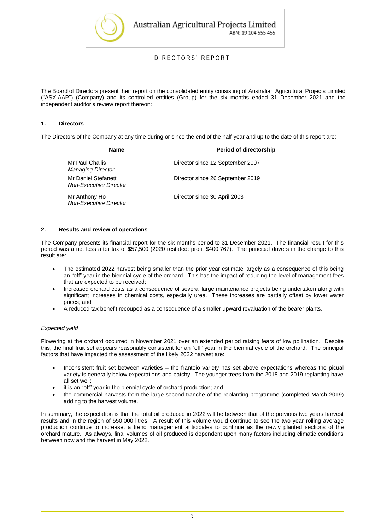

### DIRECTORS' REPORT

The Board of Directors present their report on the consolidated entity consisting of Australian Agricultural Projects Limited ("ASX:AAP") (Company) and its controlled entities (Group) for the six months ended 31 December 2021 and the independent auditor's review report thereon:

#### **1. Directors**

The Directors of the Company at any time during or since the end of the half-year and up to the date of this report are:

| Name                                                  | <b>Period of directorship</b>    |
|-------------------------------------------------------|----------------------------------|
| Mr Paul Challis<br><b>Managing Director</b>           | Director since 12 September 2007 |
| Mr Daniel Stefanetti<br><b>Non-Executive Director</b> | Director since 26 September 2019 |
| Mr Anthony Ho<br><b>Non-Executive Director</b>        | Director since 30 April 2003     |

#### **2. Results and review of operations**

The Company presents its financial report for the six months period to 31 December 2021. The financial result for this period was a net loss after tax of \$57,500 (2020 restated: profit \$400,767). The principal drivers in the change to this result are:

- The estimated 2022 harvest being smaller than the prior year estimate largely as a consequence of this being an "off" year in the biennial cycle of the orchard. This has the impact of reducing the level of management fees that are expected to be received;
- Increased orchard costs as a consequence of several large maintenance projects being undertaken along with significant increases in chemical costs, especially urea. These increases are partially offset by lower water prices; and
- A reduced tax benefit recouped as a consequence of a smaller upward revaluation of the bearer plants.

#### *Expected yield*

Flowering at the orchard occurred in November 2021 over an extended period raising fears of low pollination. Despite this, the final fruit set appears reasonably consistent for an "off" year in the biennial cycle of the orchard. The principal factors that have impacted the assessment of the likely 2022 harvest are:

- Inconsistent fruit set between varieties the frantoio variety has set above expectations whereas the picual variety is generally below expectations and patchy. The younger trees from the 2018 and 2019 replanting have all set well;
- it is an "off" year in the biennial cycle of orchard production; and
- the commercial harvests from the large second tranche of the replanting programme (completed March 2019) adding to the harvest volume.

In summary, the expectation is that the total oil produced in 2022 will be between that of the previous two years harvest results and in the region of 550,000 litres. A result of this volume would continue to see the two year rolling average production continue to increase, a trend management anticipates to continue as the newly planted sections of the orchard mature. As always, final volumes of oil produced is dependent upon many factors including climatic conditions between now and the harvest in May 2022.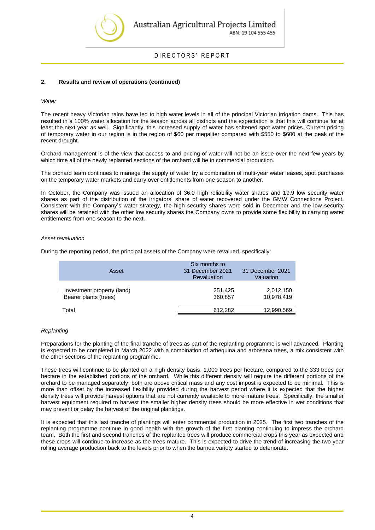

#### DIRECTORS' REPORT

#### **2. Results and review of operations (continued)**

#### *Water*

The recent heavy Victorian rains have led to high water levels in all of the principal Victorian irrigation dams. This has resulted in a 100% water allocation for the season across all districts and the expectation is that this will continue for at least the next year as well. Significantly, this increased supply of water has softened spot water prices. Current pricing of temporary water in our region is in the region of \$60 per megaliter compared with \$550 to \$600 at the peak of the recent drought.

Orchard management is of the view that access to and pricing of water will not be an issue over the next few years by which time all of the newly replanted sections of the orchard will be in commercial production.

The orchard team continues to manage the supply of water by a combination of multi-year water leases, spot purchases on the temporary water markets and carry over entitlements from one season to another.

In October, the Company was issued an allocation of 36.0 high reliability water shares and 19.9 low security water shares as part of the distribution of the irrigators' share of water recovered under the GMW Connections Project. Consistent with the Company's water strategy, the high security shares were sold in December and the low security shares will be retained with the other low security shares the Company owns to provide some flexibility in carrying water entitlements from one season to the next.

#### *Asset revaluation*

During the reporting period, the principal assets of the Company were revalued, specifically:

| Asset                                               | Six months to<br>31 December 2021<br><b>Revaluation</b> | 31 December 2021<br>Valuation |
|-----------------------------------------------------|---------------------------------------------------------|-------------------------------|
| Investment property (land)<br>Bearer plants (trees) | 251,425<br>360,857                                      | 2,012,150<br>10,978,419       |
| Total                                               | 612,282                                                 | 12,990,569                    |

#### *Replanting*

Preparations for the planting of the final tranche of trees as part of the replanting programme is well advanced. Planting is expected to be completed in March 2022 with a combination of arbequina and arbosana trees, a mix consistent with the other sections of the replanting programme.

These trees will continue to be planted on a high density basis, 1,000 trees per hectare, compared to the 333 trees per hectare in the established portions of the orchard. While this different density will require the different portions of the orchard to be managed separately, both are above critical mass and any cost impost is expected to be minimal. This is more than offset by the increased flexibility provided during the harvest period where it is expected that the higher density trees will provide harvest options that are not currently available to more mature trees. Specifically, the smaller harvest equipment required to harvest the smaller higher density trees should be more effective in wet conditions that may prevent or delay the harvest of the original plantings.

It is expected that this last tranche of plantings will enter commercial production in 2025. The first two tranches of the replanting programme continue in good health with the growth of the first planting continuing to impress the orchard team. Both the first and second tranches of the replanted trees will produce commercial crops this year as expected and these crops will continue to increase as the trees mature. This is expected to drive the trend of increasing the two year rolling average production back to the levels prior to when the barnea variety started to deteriorate.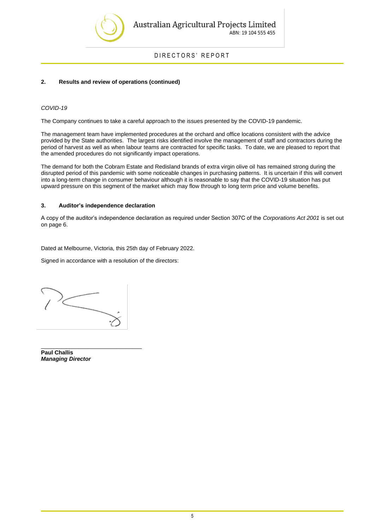

DIRECTORS' REPORT

#### **2. Results and review of operations (continued)**

#### *COVID-19*

The Company continues to take a careful approach to the issues presented by the COVID-19 pandemic.

The management team have implemented procedures at the orchard and office locations consistent with the advice provided by the State authorities. The largest risks identified involve the management of staff and contractors during the period of harvest as well as when labour teams are contracted for specific tasks. To date, we are pleased to report that the amended procedures do not significantly impact operations.

The demand for both the Cobram Estate and Redisland brands of extra virgin olive oil has remained strong during the disrupted period of this pandemic with some noticeable changes in purchasing patterns. It is uncertain if this will convert into a long-term change in consumer behaviour although it is reasonable to say that the COVID-19 situation has put upward pressure on this segment of the market which may flow through to long term price and volume benefits.

#### **3. Auditor's independence declaration**

A copy of the auditor's independence declaration as required under Section 307C of the *Corporations Act 2001* is set out on page 6.

Dated at Melbourne, Victoria, this 25th day of February 2022.

Signed in accordance with a resolution of the directors:

\_\_\_\_\_\_\_\_\_\_\_\_\_\_\_\_\_\_\_\_\_\_\_\_\_\_\_\_\_\_\_\_ **Paul Challis**  *Managing Director*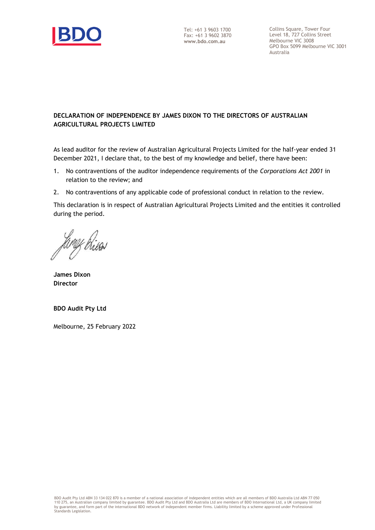

Collins Square, Tower Four Level 18, 727 Collins Street Melbourne VIC 3008 GPO Box 5099 Melbourne VIC 3001 Australia

## **DECLARATION OF INDEPENDENCE BY JAMES DIXON TO THE DIRECTORS OF AUSTRALIAN AGRICULTURAL PROJECTS LIMITED**

As lead auditor for the review of Australian Agricultural Projects Limited for the half-year ended 31 December 2021, I declare that, to the best of my knowledge and belief, there have been:

- 1. No contraventions of the auditor independence requirements of the *Corporations Act 2001* in relation to the review; and
- 2. No contraventions of any applicable code of professional conduct in relation to the review.

This declaration is in respect of Australian Agricultural Projects Limited and the entities it controlled during the period.

**James Dixon Director**

**BDO Audit Pty Ltd**

Melbourne, 25 February 2022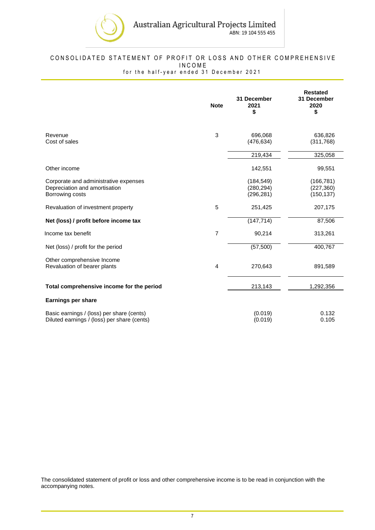

## <span id="page-8-0"></span>CONSOLIDATED STATEMENT OF PROFIT OR LOSS AND OTHER COMPREHENSIVE I N C O M E

for the half-year ended 31 December 2021

|                                                                                           | <b>Note</b> | 31 December<br>2021<br>\$              | <b>Restated</b><br>31 December<br>2020<br>\$ |
|-------------------------------------------------------------------------------------------|-------------|----------------------------------------|----------------------------------------------|
| Revenue<br>Cost of sales                                                                  | 3           | 696,068<br>(476, 634)                  | 636,826<br>(311,768)                         |
|                                                                                           |             | 219,434                                | 325,058                                      |
| Other income                                                                              |             | 142,551                                | 99,551                                       |
| Corporate and administrative expenses<br>Depreciation and amortisation<br>Borrowing costs |             | (184, 549)<br>(280, 294)<br>(296, 281) | (166, 781)<br>(227, 360)<br>(150, 137)       |
| Revaluation of investment property                                                        | 5           | 251,425                                | 207,175                                      |
| Net (loss) / profit before income tax                                                     |             | (147, 714)                             | 87,506                                       |
| Income tax benefit                                                                        | 7           | 90,214                                 | 313,261                                      |
| Net (loss) / profit for the period                                                        |             | (57,500)                               | 400,767                                      |
| Other comprehensive Income<br>Revaluation of bearer plants                                | 4           | 270,643                                | 891,589                                      |
| Total comprehensive income for the period                                                 |             | 213,143                                | 1,292,356                                    |
| <b>Earnings per share</b>                                                                 |             |                                        |                                              |
| Basic earnings / (loss) per share (cents)<br>Diluted earnings / (loss) per share (cents)  |             | (0.019)<br>(0.019)                     | 0.132<br>0.105                               |

The consolidated statement of profit or loss and other comprehensive income is to be read in conjunction with the accompanying notes.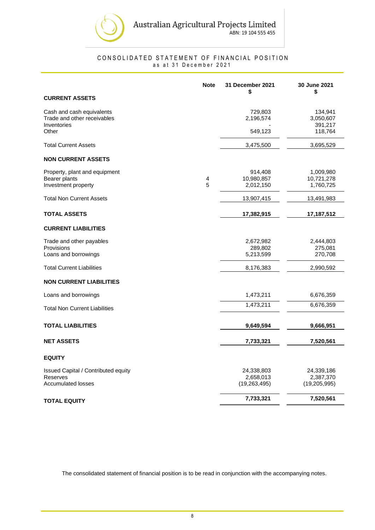

#### CONSOLIDATED STATEMENT OF FINANCIAL POSITION as at 31 December 2021

<span id="page-9-0"></span>

|                                                                         | <b>Note</b> | 31 December 2021<br>S              | 30 June 2021<br>\$                   |
|-------------------------------------------------------------------------|-------------|------------------------------------|--------------------------------------|
| <b>CURRENT ASSETS</b>                                                   |             |                                    |                                      |
| Cash and cash equivalents<br>Trade and other receivables<br>Inventories |             | 729,803<br>2,196,574               | 134,941<br>3,050,607<br>391,217      |
| Other                                                                   |             | 549,123                            | 118,764                              |
| <b>Total Current Assets</b>                                             |             | 3,475,500                          | 3,695,529                            |
| <b>NON CURRENT ASSETS</b>                                               |             |                                    |                                      |
| Property, plant and equipment<br>Bearer plants<br>Investment property   | 4<br>5      | 914,408<br>10,980,857<br>2,012,150 | 1,009,980<br>10,721,278<br>1,760,725 |
| <b>Total Non Current Assets</b>                                         |             | 13,907,415                         | 13,491,983                           |
| <b>TOTAL ASSETS</b>                                                     |             | 17,382,915                         | 17,187,512                           |
| <b>CURRENT LIABILITIES</b>                                              |             |                                    |                                      |
| Trade and other payables<br>Provisions<br>Loans and borrowings          |             | 2,672,982<br>289,802<br>5,213,599  | 2,444,803<br>275,081<br>270,708      |
| <b>Total Current Liabilities</b>                                        |             | 8,176,383                          | 2,990,592                            |
| <b>NON CURRENT LIABILITIES</b>                                          |             |                                    |                                      |
| Loans and borrowings                                                    |             | 1,473,211                          | 6,676,359                            |
| <b>Total Non Current Liabilities</b>                                    |             | 1,473,211                          | 6,676,359                            |
| <b>TOTAL LIABILITIES</b>                                                |             | 9,649,594                          | 9,666,951                            |
| <b>NET ASSETS</b>                                                       |             | 7,733,321                          | 7,520,561                            |
| <b>EQUITY</b>                                                           |             |                                    |                                      |
| Issued Capital / Contributed equity                                     |             | 24,338,803                         | 24,339,186                           |
| Reserves<br><b>Accumulated losses</b>                                   |             | 2,658,013<br>(19, 263, 495)        | 2,387,370<br>(19, 205, 995)          |
| <b>TOTAL EQUITY</b>                                                     |             | 7,733,321                          | 7,520,561                            |

The consolidated statement of financial position is to be read in conjunction with the accompanying notes.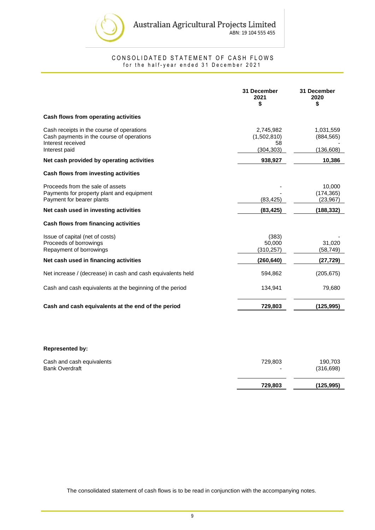

CONSOLIDATED STATEMENT OF CASH FLOWS for the half-year ended 31 December 2021

<span id="page-10-0"></span>

|                                                                                                                              | 31 December<br>2021<br>\$                    | 31 December<br>2020<br>\$             |
|------------------------------------------------------------------------------------------------------------------------------|----------------------------------------------|---------------------------------------|
| Cash flows from operating activities                                                                                         |                                              |                                       |
| Cash receipts in the course of operations<br>Cash payments in the course of operations<br>Interest received<br>Interest paid | 2,745,982<br>(1,502,810)<br>58<br>(304, 303) | 1,031,559<br>(884, 565)<br>(136, 608) |
| Net cash provided by operating activities                                                                                    | 938,927                                      | 10,386                                |
| Cash flows from investing activities                                                                                         |                                              |                                       |
| Proceeds from the sale of assets<br>Payments for property plant and equipment<br>Payment for bearer plants                   | (83, 425)                                    | 10,000<br>(174, 365)<br>(23, 967)     |
| Net cash used in investing activities                                                                                        | (83, 425)                                    | (188, 332)                            |
| Cash flows from financing activities                                                                                         |                                              |                                       |
| Issue of capital (net of costs)<br>Proceeds of borrowings<br>Repayment of borrowings                                         | (383)<br>50,000<br>(310, 257)                | 31,020<br>(58,749)                    |
| Net cash used in financing activities                                                                                        | (260,640)                                    | (27,729)                              |
| Net increase / (decrease) in cash and cash equivalents held                                                                  | 594,862                                      | (205, 675)                            |
| Cash and cash equivalents at the beginning of the period                                                                     | 134,941                                      | 79,680                                |
| Cash and cash equivalents at the end of the period                                                                           | 729,803                                      | (125, 995)                            |
|                                                                                                                              |                                              |                                       |
|                                                                                                                              |                                              |                                       |

#### **Represented by:**

|                           | 729,803 | (125, 995) |
|---------------------------|---------|------------|
| Cash and cash equivalents | 729.803 | 190,703    |
| <b>Bank Overdraft</b>     | -       | (316, 698) |

The consolidated statement of cash flows is to be read in conjunction with the accompanying notes.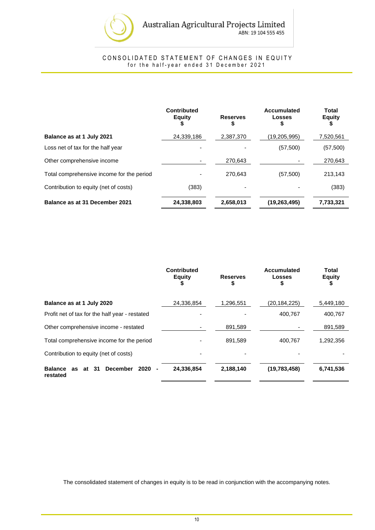

#### CONSOLIDATED STATEMENT OF CHANGES IN EQUITY for the half-year ended 31 December 2021

<span id="page-11-0"></span>

|                                           | Contributed<br><b>Equity</b><br>\$ | <b>Reserves</b><br>\$ | <b>Accumulated</b><br>Losses<br>5 | Total<br><b>Equity</b><br>₽ |
|-------------------------------------------|------------------------------------|-----------------------|-----------------------------------|-----------------------------|
| Balance as at 1 July 2021                 | 24,339,186                         | 2,387,370             | (19, 205, 995)                    | 7,520,561                   |
| Loss net of tax for the half year         |                                    |                       | (57, 500)                         | (57, 500)                   |
| Other comprehensive income                |                                    | 270.643               |                                   | 270,643                     |
| Total comprehensive income for the period |                                    | 270.643               | (57, 500)                         | 213.143                     |
| Contribution to equity (net of costs)     | (383)                              |                       |                                   | (383)                       |
| Balance as at 31 December 2021            | 24,338,803                         | 2,658,013             | (19, 263, 495)                    | 7,733,321                   |

|                                                                                 | <b>Contributed</b><br><b>Equity</b><br>\$ | <b>Reserves</b><br>\$ | Accumulated<br>Losses<br>\$ | Total<br><b>Equity</b><br>\$ |
|---------------------------------------------------------------------------------|-------------------------------------------|-----------------------|-----------------------------|------------------------------|
| Balance as at 1 July 2020                                                       | 24,336,854                                | 1,296,551             | (20, 184, 225)              | 5,449,180                    |
| Profit net of tax for the half year - restated                                  |                                           |                       | 400,767                     | 400,767                      |
| Other comprehensive income - restated                                           |                                           | 891,589               |                             | 891,589                      |
| Total comprehensive income for the period                                       |                                           | 891,589               | 400,767                     | 1,292,356                    |
| Contribution to equity (net of costs)                                           |                                           |                       |                             |                              |
| <b>Balance</b><br>-31<br><b>December</b><br>2020<br>at<br><b>as</b><br>restated | 24,336,854                                | 2,188,140             | (19, 783, 458)              | 6,741,536                    |

The consolidated statement of changes in equity is to be read in conjunction with the accompanying notes.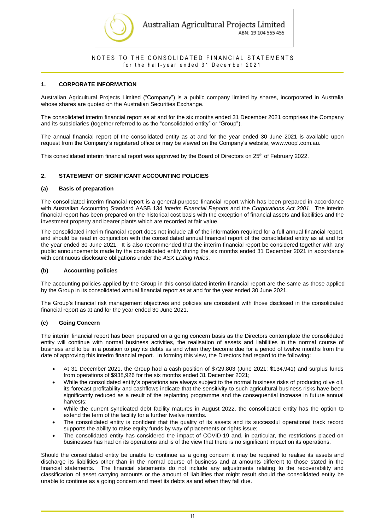

#### **1. CORPORATE INFORMATION**

Australian Agricultural Projects Limited ("Company") is a public company limited by shares, incorporated in Australia whose shares are quoted on the Australian Securities Exchange.

The consolidated interim financial report as at and for the six months ended 31 December 2021 comprises the Company and its subsidiaries (together referred to as the "consolidated entity" or "Group").

The annual financial report of the consolidated entity as at and for the year ended 30 June 2021 is available upon request from the Company's registered office or may be viewed on the Company's website, www.voopl.com.au.

This consolidated interim financial report was approved by the Board of Directors on 25<sup>th</sup> of February 2022.

#### **2. STATEMENT OF SIGNIFICANT ACCOUNTING POLICIES**

#### **(a) Basis of preparation**

The consolidated interim financial report is a general-purpose financial report which has been prepared in accordance with Australian Accounting Standard AASB 134 *Interim Financial Reports* and the *Corporations Act 2001*. The interim financial report has been prepared on the historical cost basis with the exception of financial assets and liabilities and the investment property and bearer plants which are recorded at fair value.

The consolidated interim financial report does not include all of the information required for a full annual financial report, and should be read in conjunction with the consolidated annual financial report of the consolidated entity as at and for the year ended 30 June 2021. It is also recommended that the interim financial report be considered together with any public announcements made by the consolidated entity during the six months ended 31 December 2021 in accordance with continuous disclosure obligations under the *ASX Listing Rules*.

#### **(b) Accounting policies**

The accounting policies applied by the Group in this consolidated interim financial report are the same as those applied by the Group in its consolidated annual financial report as at and for the year ended 30 June 2021.

The Group's financial risk management objectives and policies are consistent with those disclosed in the consolidated financial report as at and for the year ended 30 June 2021.

#### **(c) Going Concern**

The interim financial report has been prepared on a going concern basis as the Directors contemplate the consolidated entity will continue with normal business activities, the realisation of assets and liabilities in the normal course of business and to be in a position to pay its debts as and when they become due for a period of twelve months from the date of approving this interim financial report. In forming this view, the Directors had regard to the following:

- At 31 December 2021, the Group had a cash position of \$729,803 (June 2021: \$134,941) and surplus funds from operations of \$938,926 for the six months ended 31 December 2021;
- While the consolidated entity's operations are always subject to the normal business risks of producing olive oil, its forecast profitability and cashflows indicate that the sensitivity to such agricultural business risks have been significantly reduced as a result of the replanting programme and the consequential increase in future annual harvests;
- While the current syndicated debt facility matures in August 2022, the consolidated entity has the option to extend the term of the facility for a further twelve months.
- The consolidated entity is confident that the quality of its assets and its successful operational track record supports the ability to raise equity funds by way of placements or rights issue;
- The consolidated entity has considered the impact of COVID-19 and, in particular, the restrictions placed on businesses has had on its operations and is of the view that there is no significant impact on its operations.

Should the consolidated entity be unable to continue as a going concern it may be required to realise its assets and discharge its liabilities other than in the normal course of business and at amounts different to those stated in the financial statements. The financial statements do not include any adjustments relating to the recoverability and classification of asset carrying amounts or the amount of liabilities that might result should the consolidated entity be unable to continue as a going concern and meet its debts as and when they fall due.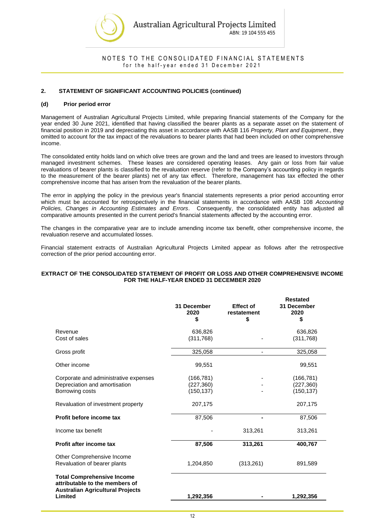

#### **2. STATEMENT OF SIGNIFICANT ACCOUNTING POLICIES (continued)**

#### **(d) Prior period error**

Management of Australian Agricultural Projects Limited, while preparing financial statements of the Company for the year ended 30 June 2021, identified that having classified the bearer plants as a separate asset on the statement of financial position in 2019 and depreciating this asset in accordance with AASB 116 *Property, Plant and Equipment*., they omitted to account for the tax impact of the revaluations to bearer plants that had been included on other comprehensive income.

The consolidated entity holds land on which olive trees are grown and the land and trees are leased to investors through managed investment schemes. These leases are considered operating leases. Any gain or loss from fair value revaluations of bearer plants is classified to the revaluation reserve (refer to the Company's accounting policy in regards to the measurement of the bearer plants) net of any tax effect. Therefore, management has tax effected the other comprehensive income that has arisen from the revaluation of the bearer plants.

The error in applying the policy in the previous year's financial statements represents a prior period accounting error which must be accounted for retrospectively in the financial statements in accordance with AASB 108 *Accounting Policies, Changes in Accounting Estimates and Errors*. Consequently, the consolidated entity has adjusted all comparative amounts presented in the current period's financial statements affected by the accounting error.

The changes in the comparative year are to include amending income tax benefit, other comprehensive income, the revaluation reserve and accumulated losses.

Financial statement extracts of Australian Agricultural Projects Limited appear as follows after the retrospective correction of the prior period accounting error.

#### **EXTRACT OF THE CONSOLIDATED STATEMENT OF PROFIT OR LOSS AND OTHER COMPREHENSIVE INCOME FOR THE HALF-YEAR ENDED 31 DECEMBER 2020**

|                                                                                                                           | 31 December<br>2020<br>\$              | <b>Effect of</b><br>restatement<br>\$ | <b>Restated</b><br>31 December<br>2020<br>\$ |
|---------------------------------------------------------------------------------------------------------------------------|----------------------------------------|---------------------------------------|----------------------------------------------|
| Revenue<br>Cost of sales                                                                                                  | 636,826<br>(311, 768)                  |                                       | 636,826<br>(311,768)                         |
| Gross profit                                                                                                              | 325,058                                | $\blacksquare$                        | 325,058                                      |
| Other income                                                                                                              | 99,551                                 |                                       | 99,551                                       |
| Corporate and administrative expenses<br>Depreciation and amortisation<br>Borrowing costs                                 | (166, 781)<br>(227, 360)<br>(150, 137) |                                       | (166, 781)<br>(227, 360)<br>(150, 137)       |
| Revaluation of investment property                                                                                        | 207,175                                |                                       | 207,175                                      |
| Profit before income tax                                                                                                  | 87,506                                 |                                       | 87,506                                       |
| Income tax benefit                                                                                                        |                                        | 313,261                               | 313,261                                      |
| Profit after income tax                                                                                                   | 87,506                                 | 313,261                               | 400,767                                      |
| Other Comprehensive Income<br>Revaluation of bearer plants                                                                | 1,204,850                              | (313,261)                             | 891,589                                      |
| <b>Total Comprehensive Income</b><br>attributable to the members of<br><b>Australian Agricultural Projects</b><br>Limited | 1,292,356                              |                                       | 1,292,356                                    |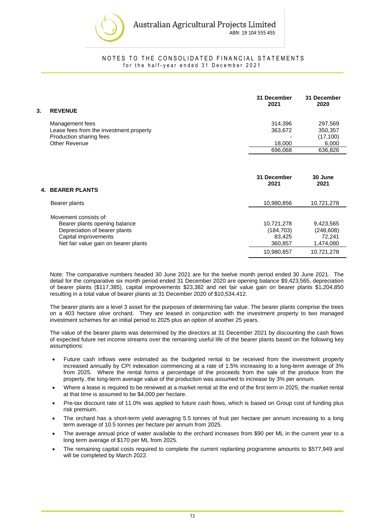

| 3. | <b>REVENUE</b>                          | 31 December<br>2021 | 31 December<br>2020 |
|----|-----------------------------------------|---------------------|---------------------|
|    | Management fees                         | 314.396             | 297,569             |
|    | Lease fees from the investment property | 363,672             | 350,357             |
|    | Production sharing fees                 |                     | (17, 100)           |
|    | Other Revenue                           | 18,000              | 6,000               |
|    |                                         | 696.068             | 636,826             |

| 4. BEARER PLANTS                                                                                                                                        | 31 December<br>2021                                         | 30 June<br>2021                                              |
|---------------------------------------------------------------------------------------------------------------------------------------------------------|-------------------------------------------------------------|--------------------------------------------------------------|
| Bearer plants                                                                                                                                           | 10,980,856                                                  | 10,721,278                                                   |
| Movement consists of:<br>Bearer plants opening balance<br>Depreciation of bearer plants<br>Capital improvements<br>Net fair value gain on bearer plants | 10,721,278<br>(184, 703)<br>83.425<br>360,857<br>10,980,857 | 9,423,565<br>(248, 608)<br>72.241<br>1,474,080<br>10,721,278 |

Note: The comparative numbers headed 30 June 2021 are for the twelve month period ended 30 June 2021. The detail for the comparative six month period ended 31 December 2020 are opening balance \$9,423,565, depreciation of bearer plants (\$117,385), capital improvements \$23,382 and net fair value gain on bearer plants \$1,204,850 resulting in a total value of bearer plants at 31 December 2020 of \$10,534,412.

The bearer plants are a level 3 asset for the purposes of determining fair value. The bearer plants comprise the trees on a 403 hectare olive orchard. They are leased in conjunction with the investment property to two managed investment schemes for an initial period to 2025 plus an option of another 25 years.

The value of the bearer plants was determined by the directors at 31 December 2021 by discounting the cash flows of expected future net income streams over the remaining useful life of the bearer plants based on the following key assumptions:

- Future cash inflows were estimated as the budgeted rental to be received from the investment property increased annually by CPI indexation commencing at a rate of 1.5% increasing to a long-term average of 3% from 2025. Where the rental forms a percentage of the proceeds from the sale of the produce from the property, the long-term average value of the production was assumed to increase by 3% per annum.
- Where a lease is required to be renewed at a market rental at the end of the first term in 2025, the market rental at that time is assumed to be \$4,000 per hectare.
- Pre-tax discount rate of 11.0% was applied to future cash flows, which is based on Group cost of funding plus risk premium.
- The orchard has a short-term yield averaging 5.5 tonnes of fruit per hectare per annum increasing to a long term average of 10.5 tonnes per hectare per annum from 2025.
- The average annual price of water available to the orchard increases from \$90 per ML in the current year to a long term average of \$170 per ML from 2025.
- The remaining capital costs required to complete the current replanting programme amounts to \$577,949 and will be completed by March 2022.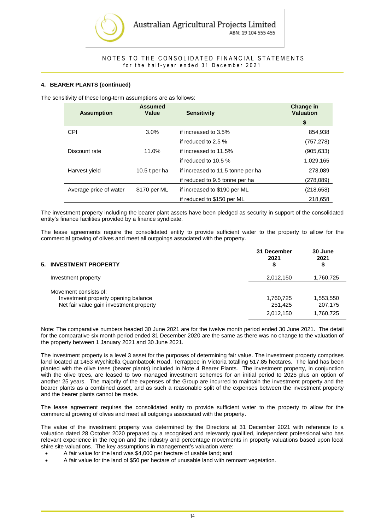

#### **4. BEARER PLANTS (continued)**

The sensitivity of these long-term assumptions are as follows:

| <b>Assumption</b>      | <b>Assumed</b><br>Value | <b>Sensitivity</b>                | <b>Change in</b><br><b>Valuation</b> |
|------------------------|-------------------------|-----------------------------------|--------------------------------------|
|                        |                         |                                   | \$                                   |
| <b>CPI</b>             | $3.0\%$                 | if increased to 3.5%              | 854,938                              |
|                        |                         | if reduced to 2.5 %               | (757,278)                            |
| Discount rate          | 11.0%                   | if increased to 11.5%             | (905, 633)                           |
|                        |                         | if reduced to $10.5\%$            | 1,029,165                            |
| Harvest yield          | 10.5 $t$ per ha         | if increased to 11.5 tonne per ha | 278,089                              |
|                        |                         | if reduced to 9.5 tonne per ha    | (278,089)                            |
| Average price of water | \$170 per ML            | if increased to \$190 per ML      | (218, 658)                           |
|                        |                         | if reduced to \$150 per ML        | 218,658                              |

The investment property including the bearer plant assets have been pledged as security in support of the consolidated entity's finance facilities provided by a finance syndicate.

The lease agreements require the consolidated entity to provide sufficient water to the property to allow for the commercial growing of olives and meet all outgoings associated with the property.

| 5. INVESTMENT PROPERTY                                                                                  | 31 December<br>2021<br>Ð | 30 June<br>2021<br>\$ |
|---------------------------------------------------------------------------------------------------------|--------------------------|-----------------------|
| Investment property                                                                                     | 2,012,150                | 1,760,725             |
| Movement consists of:<br>Investment property opening balance<br>Net fair value gain investment property | 1,760,725<br>251,425     | 1,553,550<br>207,175  |
|                                                                                                         | 2,012,150                | 1,760,725             |

Note: The comparative numbers headed 30 June 2021 are for the twelve month period ended 30 June 2021. The detail for the comparative six month period ended 31 December 2020 are the same as there was no change to the valuation of the property between 1 January 2021 and 30 June 2021.

The investment property is a level 3 asset for the purposes of determining fair value. The investment property comprises land located at 1453 Wychitella Quambatook Road, Terrappee in Victoria totalling 517.85 hectares. The land has been planted with the olive trees (bearer plants) included in Note 4 Bearer Plants. The investment property, in conjunction with the olive trees, are leased to two managed investment schemes for an initial period to 2025 plus an option of another 25 years. The majority of the expenses of the Group are incurred to maintain the investment property and the bearer plants as a combined asset, and as such a reasonable split of the expenses between the investment property and the bearer plants cannot be made.

The lease agreement requires the consolidated entity to provide sufficient water to the property to allow for the commercial growing of olives and meet all outgoings associated with the property.

The value of the investment property was determined by the Directors at 31 December 2021 with reference to a valuation dated 28 October 2020 prepared by a recognised and relevantly qualified, independent professional who has relevant experience in the region and the industry and percentage movements in property valuations based upon local shire site valuations. The key assumptions in management's valuation were:

- A fair value for the land was \$4,000 per hectare of usable land; and
- A fair value for the land of \$50 per hectare of unusable land with remnant vegetation.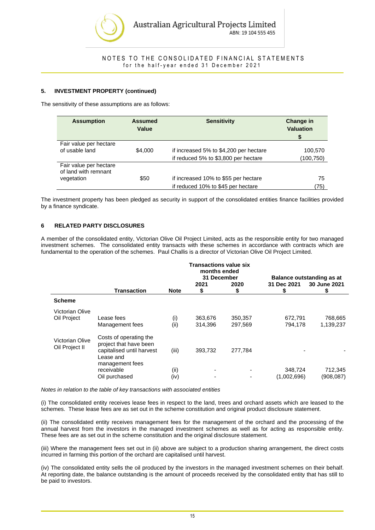

#### **5. INVESTMENT PROPERTY (continued)**

The sensitivity of these assumptions are as follows:

| <b>Assumption</b>                                            | <b>Assumed</b><br>Value | <b>Sensitivity</b>                                                             | <b>Change in</b><br><b>Valuation</b><br>S |
|--------------------------------------------------------------|-------------------------|--------------------------------------------------------------------------------|-------------------------------------------|
| Fair value per hectare<br>of usable land                     | \$4,000                 | if increased 5% to \$4,200 per hectare<br>if reduced 5% to \$3,800 per hectare | 100,570<br>(100,750)                      |
| Fair value per hectare<br>of land with remnant<br>vegetation | \$50                    | if increased 10% to \$55 per hectare<br>if reduced 10% to \$45 per hectare     | 75<br>(75)                                |

The investment property has been pledged as security in support of the consolidated entities finance facilities provided by a finance syndicate.

#### **6 RELATED PARTY DISCLOSURES**

A member of the consolidated entity, Victorian Olive Oil Project Limited, acts as the responsible entity for two managed investment schemes. The consolidated entity transacts with these schemes in accordance with contracts which are fundamental to the operation of the schemes. Paul Challis is a director of Victorian Olive Oil Project Limited.

|                                   |                                                                                                               |              |                             | <b>Transactions value six</b><br>months ended |                                                          |                      |
|-----------------------------------|---------------------------------------------------------------------------------------------------------------|--------------|-----------------------------|-----------------------------------------------|----------------------------------------------------------|----------------------|
|                                   |                                                                                                               |              | 31 December<br>2021<br>2020 |                                               | Balance outstanding as at<br>31 Dec 2021<br>30 June 2021 |                      |
|                                   | <b>Transaction</b>                                                                                            | <b>Note</b>  | \$                          | S                                             | S                                                        | S                    |
| <b>Scheme</b>                     |                                                                                                               |              |                             |                                               |                                                          |                      |
| Victorian Olive<br>Oil Project    | Lease fees<br>Management fees                                                                                 | (i)<br>(ii)  | 363,676<br>314,396          | 350,357<br>297,569                            | 672,791<br>794,178                                       | 768,665<br>1,139,237 |
| Victorian Olive<br>Oil Project II | Costs of operating the<br>project that have been<br>capitalised until harvest<br>Lease and<br>management fees | (iii)        | 393.732                     | 277,784                                       |                                                          |                      |
|                                   | receivable<br>Oil purchased                                                                                   | (ii)<br>(iv) | ٠<br>۰                      | $\overline{\phantom{a}}$                      | 348,724<br>(1,002,696)                                   | 712,345<br>(908,087) |

*Notes in relation to the table of key transactions with associated entities*

(i) The consolidated entity receives lease fees in respect to the land, trees and orchard assets which are leased to the schemes. These lease fees are as set out in the scheme constitution and original product disclosure statement.

(ii) The consolidated entity receives management fees for the management of the orchard and the processing of the annual harvest from the investors in the managed investment schemes as well as for acting as responsible entity. These fees are as set out in the scheme constitution and the original disclosure statement.

(iii) Where the management fees set out in (ii) above are subject to a production sharing arrangement, the direct costs incurred in farming this portion of the orchard are capitalised until harvest.

(iv) The consolidated entity sells the oil produced by the investors in the managed investment schemes on their behalf. At reporting date, the balance outstanding is the amount of proceeds received by the consolidated entity that has still to be paid to investors.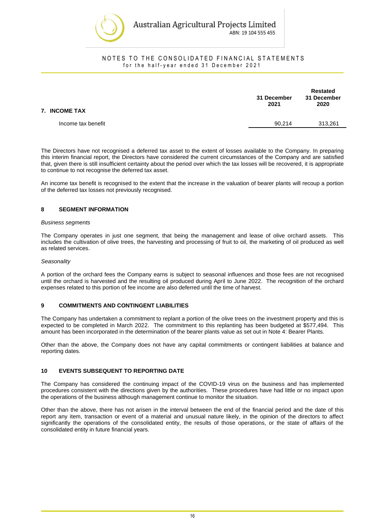

| 7. INCOME TAX      | 31 December<br>2021 | <b>Restated</b><br>31 December<br>2020 |
|--------------------|---------------------|----------------------------------------|
| Income tax benefit | 90.214              | 313,261                                |
|                    |                     |                                        |

The Directors have not recognised a deferred tax asset to the extent of losses available to the Company. In preparing this interim financial report, the Directors have considered the current circumstances of the Company and are satisfied that, given there is still insufficient certainty about the period over which the tax losses will be recovered, it is appropriate to continue to not recognise the deferred tax asset.

An income tax benefit is recognised to the extent that the increase in the valuation of bearer plants will recoup a portion of the deferred tax losses not previously recognised.

#### **8 SEGMENT INFORMATION**

#### *Business segments*

The Company operates in just one segment, that being the management and lease of olive orchard assets. This includes the cultivation of olive trees, the harvesting and processing of fruit to oil, the marketing of oil produced as well as related services.

#### *Seasonality*

A portion of the orchard fees the Company earns is subject to seasonal influences and those fees are not recognised until the orchard is harvested and the resulting oil produced during April to June 2022. The recognition of the orchard expenses related to this portion of fee income are also deferred until the time of harvest.

#### **9 COMMITMENTS AND CONTINGENT LIABILITIES**

The Company has undertaken a commitment to replant a portion of the olive trees on the investment property and this is expected to be completed in March 2022. The commitment to this replanting has been budgeted at \$577,494. This amount has been incorporated in the determination of the bearer plants value as set out in Note 4: Bearer Plants.

Other than the above, the Company does not have any capital commitments or contingent liabilities at balance and reporting dates.

#### **10 EVENTS SUBSEQUENT TO REPORTING DATE**

The Company has considered the continuing impact of the COVID-19 virus on the business and has implemented procedures consistent with the directions given by the authorities. These procedures have had little or no impact upon the operations of the business although management continue to monitor the situation.

Other than the above, there has not arisen in the interval between the end of the financial period and the date of this report any item, transaction or event of a material and unusual nature likely, in the opinion of the directors to affect significantly the operations of the consolidated entity, the results of those operations, or the state of affairs of the consolidated entity in future financial years.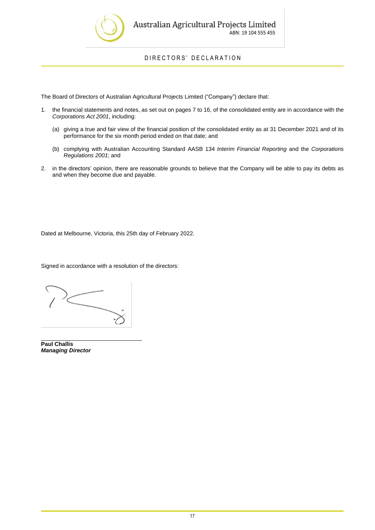

DIRECTORS' DECLARATION

The Board of Directors of Australian Agricultural Projects Limited ("Company") declare that:

- 1. the financial statements and notes, as set out on pages 7 to 16, of the consolidated entity are in accordance with the *Corporations Act 2001*, including:
	- (a) giving a true and fair view of the financial position of the consolidated entity as at 31 December 2021 and of its performance for the six month period ended on that date; and
	- (b) complying with Australian Accounting Standard AASB 134 *Interim Financial Reporting* and the *Corporations Regulations 2001*; and
- 2. in the directors' opinion, there are reasonable grounds to believe that the Company will be able to pay its debts as and when they become due and payable.

Dated at Melbourne, Victoria, this 25th day of February 2022.

Signed in accordance with a resolution of the directors:

\_\_\_\_\_\_\_\_\_\_\_\_\_\_\_\_\_\_\_\_\_\_\_\_\_\_\_\_\_\_\_\_ **Paul Challis** *Managing Director*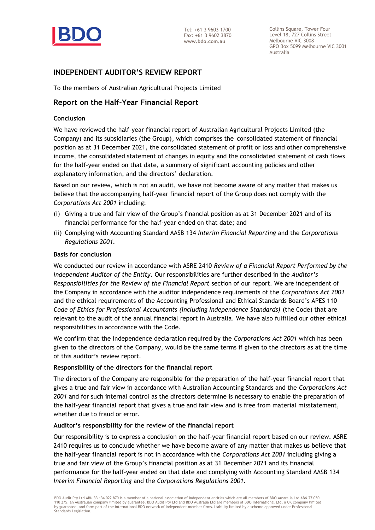

Collins Square, Tower Four Level 18, 727 Collins Street Melbourne VIC 3008 GPO Box 5099 Melbourne VIC 3001 Australia

## **INDEPENDENT AUDITOR'S REVIEW REPORT**

To the members of Australian Agricultural Projects Limited

## **Report on the Half-Year Financial Report**

#### **Conclusion**

We have reviewed the half-year financial report of Australian Agricultural Projects Limited (the Company) and its subsidiaries (the Group), which comprises the consolidated statement of financial position as at 31 December 2021, the consolidated statement of profit or loss and other comprehensive income, the consolidated statement of changes in equity and the consolidated statement of cash flows for the half-year ended on that date, a summary of significant accounting policies and other explanatory information, and the directors' declaration.

Based on our review, which is not an audit, we have not become aware of any matter that makes us believe that the accompanying half-year financial report of the Group does not comply with the *Corporations Act 2001* including:

- (i) Giving a true and fair view of the Group's financial position as at 31 December 2021 and of its financial performance for the half-year ended on that date; and
- (ii) Complying with Accounting Standard AASB 134 *Interim Financial Reporting* and the *Corporations Regulations 2001.*

#### **Basis for conclusion**

We conducted our review in accordance with ASRE 2410 *Review of a Financial Report Performed by the Independent Auditor of the Entity*. Our responsibilities are further described in the *Auditor's Responsibilities for the Review of the Financial Report* section of our report. We are independent of the Company in accordance with the auditor independence requirements of the *Corporations Act 2001* and the ethical requirements of the Accounting Professional and Ethical Standards Board's APES 110 *Code of Ethics for Professional Accountants (including Independence Standards)* (the Code) that are relevant to the audit of the annual financial report in Australia. We have also fulfilled our other ethical responsibilities in accordance with the Code.

We confirm that the independence declaration required by the *Corporations Act 2001* which has been given to the directors of the Company, would be the same terms if given to the directors as at the time of this auditor's review report.

#### **Responsibility of the directors for the financial report**

The directors of the Company are responsible for the preparation of the half-year financial report that gives a true and fair view in accordance with Australian Accounting Standards and the *Corporations Act 2001* and for such internal control as the directors determine is necessary to enable the preparation of the half-year financial report that gives a true and fair view and is free from material misstatement, whether due to fraud or error.

#### **Auditor's responsibility for the review of the financial report**

Our responsibility is to express a conclusion on the half-year financial report based on our review. ASRE 2410 requires us to conclude whether we have become aware of any matter that makes us believe that the half-year financial report is not in accordance with the *Corporations Act 2001* including giving a true and fair view of the Group's financial position as at 31 December 2021 and its financial performance for the half-year ended on that date and complying with Accounting Standard AASB 134 *Interim Financial Reporting* and the *Corporations Regulations 2001*.